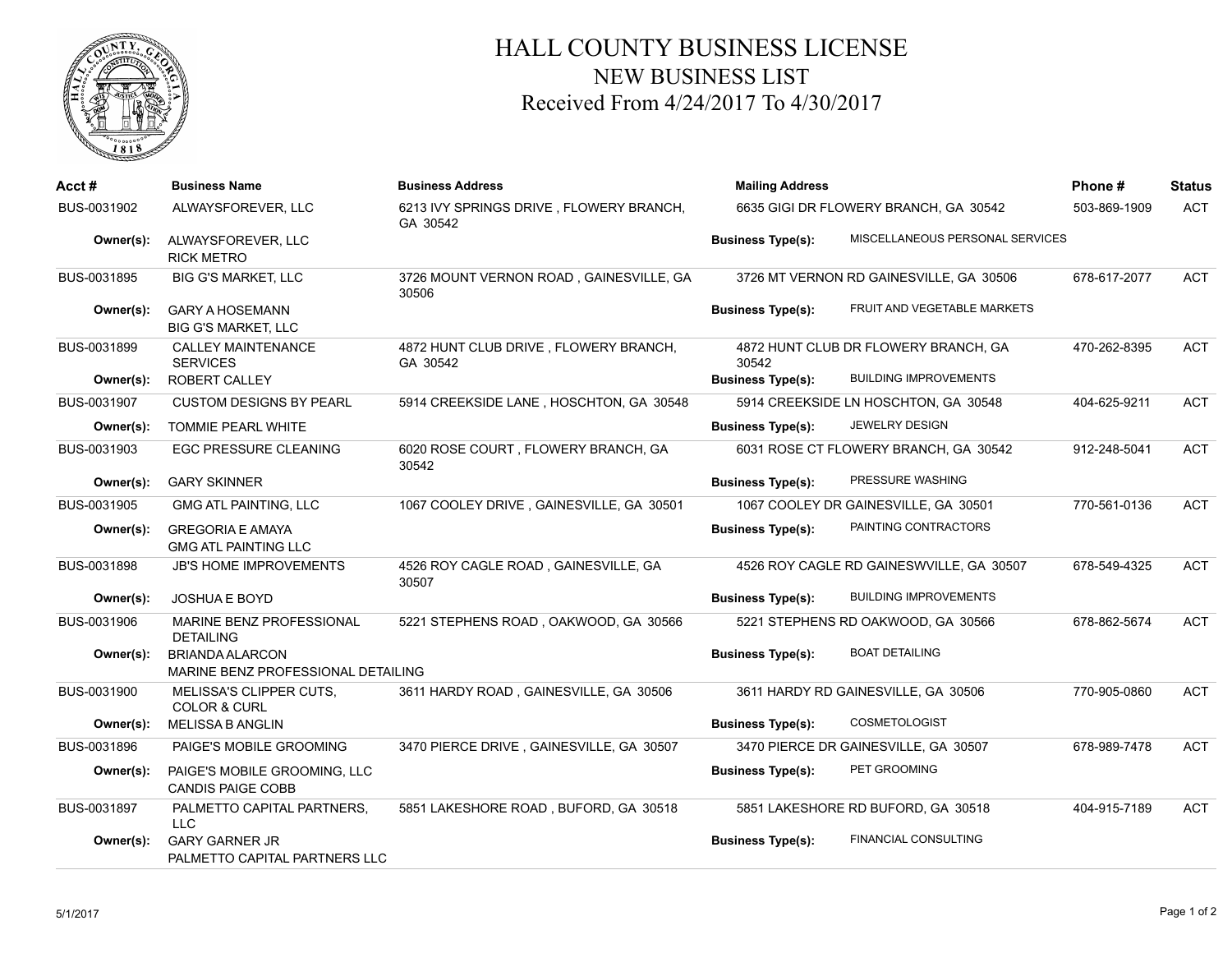

## HALL COUNTY BUSINESS LICENSE NEW BUSINESS LIST Received From 4/24/2017 To 4/30/2017

| Acct #      | <b>Business Name</b>                                         | <b>Business Address</b>                             | <b>Mailing Address</b>                |                                          | Phone#       | <b>Status</b> |
|-------------|--------------------------------------------------------------|-----------------------------------------------------|---------------------------------------|------------------------------------------|--------------|---------------|
| BUS-0031902 | ALWAYSFOREVER, LLC                                           | 6213 IVY SPRINGS DRIVE, FLOWERY BRANCH,<br>GA 30542 | 6635 GIGI DR FLOWERY BRANCH, GA 30542 |                                          | 503-869-1909 | <b>ACT</b>    |
| Owner(s):   | ALWAYSFOREVER, LLC<br><b>RICK METRO</b>                      |                                                     | <b>Business Type(s):</b>              | MISCELLANEOUS PERSONAL SERVICES          |              |               |
| BUS-0031895 | <b>BIG G'S MARKET, LLC</b>                                   | 3726 MOUNT VERNON ROAD, GAINESVILLE, GA<br>30506    |                                       | 3726 MT VERNON RD GAINESVILLE, GA 30506  | 678-617-2077 | <b>ACT</b>    |
| Owner(s):   | <b>GARY A HOSEMANN</b><br><b>BIG G'S MARKET, LLC</b>         |                                                     | <b>Business Type(s):</b>              | FRUIT AND VEGETABLE MARKETS              |              |               |
| BUS-0031899 | <b>CALLEY MAINTENANCE</b><br><b>SERVICES</b>                 | 4872 HUNT CLUB DRIVE, FLOWERY BRANCH,<br>GA 30542   | 30542                                 | 4872 HUNT CLUB DR FLOWERY BRANCH, GA     | 470-262-8395 | <b>ACT</b>    |
| Owner(s):   | <b>ROBERT CALLEY</b>                                         |                                                     | <b>Business Type(s):</b>              | <b>BUILDING IMPROVEMENTS</b>             |              |               |
| BUS-0031907 | <b>CUSTOM DESIGNS BY PEARL</b>                               | 5914 CREEKSIDE LANE, HOSCHTON, GA 30548             |                                       | 5914 CREEKSIDE LN HOSCHTON, GA 30548     | 404-625-9211 | <b>ACT</b>    |
| Owner(s):   | TOMMIE PEARL WHITE                                           |                                                     | <b>Business Type(s):</b>              | <b>JEWELRY DESIGN</b>                    |              |               |
| BUS-0031903 | <b>EGC PRESSURE CLEANING</b>                                 | 6020 ROSE COURT, FLOWERY BRANCH, GA<br>30542        |                                       | 6031 ROSE CT FLOWERY BRANCH, GA 30542    | 912-248-5041 | <b>ACT</b>    |
| Owner(s):   | <b>GARY SKINNER</b>                                          |                                                     | <b>Business Type(s):</b>              | PRESSURE WASHING                         |              |               |
| BUS-0031905 | GMG ATL PAINTING, LLC                                        | 1067 COOLEY DRIVE, GAINESVILLE, GA 30501            |                                       | 1067 COOLEY DR GAINESVILLE, GA 30501     | 770-561-0136 | <b>ACT</b>    |
| Owner(s):   | <b>GREGORIA E AMAYA</b><br><b>GMG ATL PAINTING LLC</b>       |                                                     | <b>Business Type(s):</b>              | PAINTING CONTRACTORS                     |              |               |
| BUS-0031898 | <b>JB'S HOME IMPROVEMENTS</b>                                | 4526 ROY CAGLE ROAD, GAINESVILLE, GA<br>30507       |                                       | 4526 ROY CAGLE RD GAINESWVILLE, GA 30507 | 678-549-4325 | <b>ACT</b>    |
| Owner(s):   | <b>JOSHUA E BOYD</b>                                         |                                                     | <b>Business Type(s):</b>              | <b>BUILDING IMPROVEMENTS</b>             |              |               |
| BUS-0031906 | MARINE BENZ PROFESSIONAL<br><b>DETAILING</b>                 | 5221 STEPHENS ROAD, OAKWOOD, GA 30566               |                                       | 5221 STEPHENS RD OAKWOOD, GA 30566       | 678-862-5674 | <b>ACT</b>    |
| Owner(s):   | <b>BRIANDA ALARCON</b><br>MARINE BENZ PROFESSIONAL DETAILING |                                                     | <b>Business Type(s):</b>              | <b>BOAT DETAILING</b>                    |              |               |
| BUS-0031900 | MELISSA'S CLIPPER CUTS,<br><b>COLOR &amp; CURL</b>           | 3611 HARDY ROAD, GAINESVILLE, GA 30506              |                                       | 3611 HARDY RD GAINESVILLE, GA 30506      | 770-905-0860 | <b>ACT</b>    |
| Owner(s):   | <b>MELISSA B ANGLIN</b>                                      |                                                     | <b>Business Type(s):</b>              | <b>COSMETOLOGIST</b>                     |              |               |
| BUS-0031896 | PAIGE'S MOBILE GROOMING                                      | 3470 PIERCE DRIVE, GAINESVILLE, GA 30507            |                                       | 3470 PIERCE DR GAINESVILLE, GA 30507     | 678-989-7478 | ACT           |
| Owner(s):   | PAIGE'S MOBILE GROOMING, LLC<br><b>CANDIS PAIGE COBB</b>     |                                                     | <b>Business Type(s):</b>              | PET GROOMING                             |              |               |
| BUS-0031897 | PALMETTO CAPITAL PARTNERS.<br><b>LLC</b>                     | 5851 LAKESHORE ROAD, BUFORD, GA 30518               |                                       | 5851 LAKESHORE RD BUFORD, GA 30518       | 404-915-7189 | <b>ACT</b>    |
| Owner(s):   | <b>GARY GARNER JR</b><br>PALMETTO CAPITAL PARTNERS LLC       |                                                     | <b>Business Type(s):</b>              | <b>FINANCIAL CONSULTING</b>              |              |               |